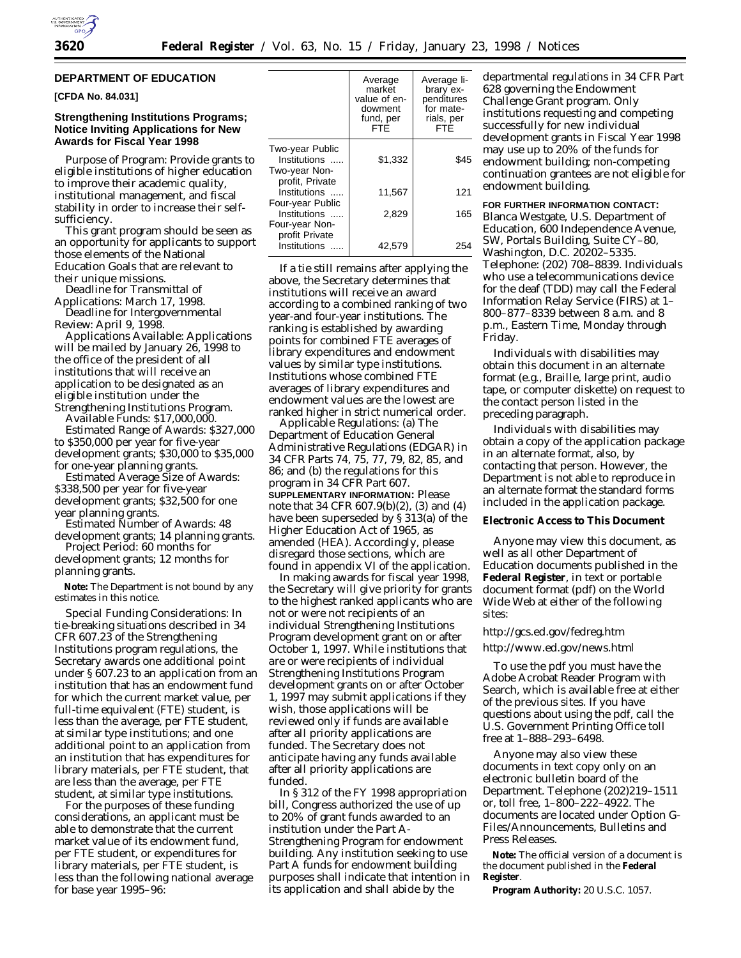

## **DEPARTMENT OF EDUCATION**

**[CFDA No. 84.031]**

### **Strengthening Institutions Programs; Notice Inviting Applications for New Awards for Fiscal Year 1998**

*Purpose of Program:* Provide grants to eligible institutions of higher education to improve their academic quality, institutional management, and fiscal stability in order to increase their selfsufficiency.

This grant program should be seen as an opportunity for applicants to support those elements of the National Education Goals that are relevant to their unique missions.

*Deadline for Transmittal of Applications:* March 17, 1998. *Deadline for Intergovernmental*

*Review:* April 9, 1998.

*Applications Available:* Applications will be mailed by January 26, 1998 to the office of the president of all institutions that will receive an application to be designated as an eligible institution under the Strengthening Institutions Program.

*Available Funds:* \$17,000,000.

*Estimated Range of Awards:* \$327,000 to \$350,000 per year for five-year development grants; \$30,000 to \$35,000 for one-year planning grants.

*Estimated Average Size of Awards:* \$338,500 per year for five-year development grants; \$32,500 for one year planning grants.

*Estimated Number of Awards:* 48 development grants; 14 planning grants.

*Project Period:* 60 months for development grants; 12 months for planning grants.

**Note:** The Department is not bound by any estimates in this notice.

*Special Funding Considerations:* In tie-breaking situations described in 34 CFR 607.23 of the Strengthening Institutions program regulations, the Secretary awards one additional point under § 607.23 to an application from an institution that has an endowment fund for which the current market value, per full-time equivalent (FTE) student, *is less than the average, per FTE student*, at similar type institutions; and one additional point to an application from an institution that has expenditures for library materials, per FTE student, that are less than the average, per FTE student, at similar type institutions.

For the purposes of these funding considerations, an applicant must be able to demonstrate that the current market value of its endowment fund, per FTE student, or expenditures for library materials, per FTE student, is less than the following national average for base year 1995–96:

|                                                    | Average<br>market<br>value of en-<br>dowment<br>fund, per<br>FTĖ | Average li-<br>brary ex-<br>penditures<br>for mate-<br>rials, per<br>FTĖ |
|----------------------------------------------------|------------------------------------------------------------------|--------------------------------------------------------------------------|
| Two-year Public<br>Institutions<br>Two-year Non-   | \$1,332                                                          | \$45                                                                     |
| profit, Private<br>Institutions                    | 11,567                                                           | 121                                                                      |
| Four-year Public<br>Institutions<br>Four-year Non- | 2.829                                                            | 165                                                                      |
| profit Private<br>Institutions                     | 42.579                                                           |                                                                          |

If a tie still remains after applying the above, the Secretary determines that institutions will receive an award according to a combined ranking of two year-and four-year institutions. The ranking is established by awarding points for combined FTE averages of library expenditures and endowment values by similar type institutions. Institutions whose combined FTE averages of library expenditures and endowment values are the lowest are ranked higher in strict numerical order.

*Applicable Regulations:* (a) The Department of Education General Administrative Regulations (EDGAR) in 34 CFR Parts 74, 75, 77, 79, 82, 85, and 86; and (b) the regulations for this program in 34 CFR Part 607. **SUPPLEMENTARY INFORMATION:** Please note that 34 CFR 607.9(b)(2), (3) and (4) have been superseded by § 313(a) of the Higher Education Act of 1965, as amended (HEA). Accordingly, please disregard those sections, which are found in appendix VI of the application.

In making awards for fiscal year 1998, the Secretary will give priority for grants to the highest ranked applicants who are not or were not recipients of an *individual* Strengthening Institutions Program development grant on or after October 1, 1997. While institutions that *are or were* recipients of individual Strengthening Institutions Program development grants on or after October 1, 1997 may submit applications if they wish, those applications will be reviewed only if funds are available after all priority applications are funded. The Secretary *does not* anticipate having any funds available after all priority applications are funded.

In § 312 of the FY 1998 appropriation bill, Congress authorized the use of up to 20% of grant funds awarded to an institution under the Part A-Strengthening Program for endowment building. Any institution seeking to use Part A funds for endowment building purposes *shall indicate that intention* in its application and shall abide by the

departmental regulations in 34 CFR Part 628 governing the Endowment Challenge Grant program. Only institutions requesting and competing successfully for new individual development grants in Fiscal Year 1998 may use up to 20% of the funds for endowment building; non-competing continuation grantees are not eligible for endowment building.

# **FOR FURTHER INFORMATION CONTACT:**

Blanca Westgate, U.S. Department of Education, 600 Independence Avenue, SW, Portals Building, Suite CY–80, Washington, D.C. 20202–5335. Telephone: (202) 708–8839. Individuals who use a telecommunications device for the deaf (TDD) may call the Federal Information Relay Service (FIRS) at 1– 800–877–8339 between 8 a.m. and 8 p.m., Eastern Time, Monday through Friday.

Individuals with disabilities may obtain this document in an alternate format (e.g., Braille, large print, audio tape, or computer diskette) on request to the contact person listed in the preceding paragraph.

Individuals with disabilities may obtain a copy of the application package in an alternate format, also, by contacting that person. However, the Department is not able to reproduce in an alternate format the standard forms included in the application package.

#### **Electronic Access to This Document**

Anyone may view this document, as well as all other Department of Education documents published in the **Federal Register**, in text or portable document format (pdf) on the World Wide Web at either of the following sites:

# http://gcs.ed.gov/fedreg.htm http://www.ed.gov/news.html

To use the pdf you must have the Adobe Acrobat Reader Program with Search, which is available free at either of the previous sites. If you have questions about using the pdf, call the U.S. Government Printing Office toll free at 1–888–293–6498.

Anyone may also view these documents in text copy only on an electronic bulletin board of the Department. Telephone (202)219–1511 or, toll free, 1–800–222–4922. The documents are located under Option G-Files/Announcements, Bulletins and Press Releases.

**Note:** The official version of a document is the document published in the **Federal Register**.

**Program Authority:** 20 U.S.C. 1057.